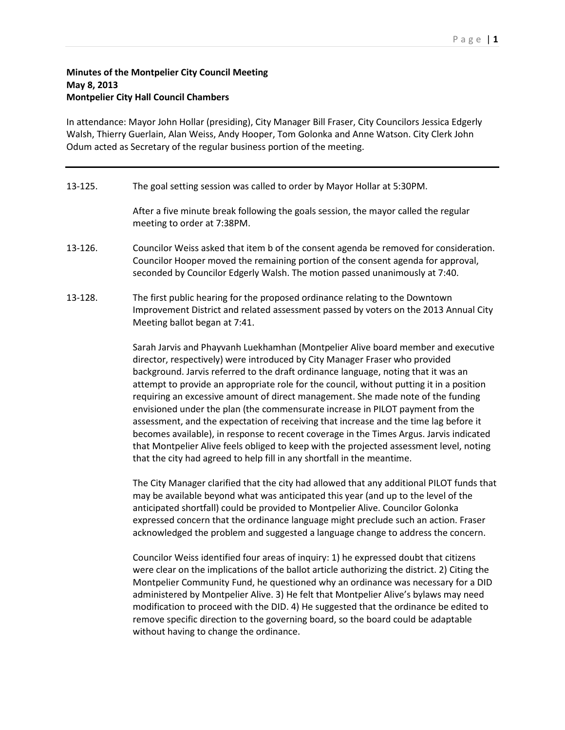## **Minutes of the Montpelier City Council Meeting May 8, 2013 Montpelier City Hall Council Chambers**

In attendance: Mayor John Hollar (presiding), City Manager Bill Fraser, City Councilors Jessica Edgerly Walsh, Thierry Guerlain, Alan Weiss, Andy Hooper, Tom Golonka and Anne Watson. City Clerk John Odum acted as Secretary of the regular business portion of the meeting.

## 13-125. The goal setting session was called to order by Mayor Hollar at 5:30PM.

After a five minute break following the goals session, the mayor called the regular meeting to order at 7:38PM.

- 13-126. Councilor Weiss asked that item b of the consent agenda be removed for consideration. Councilor Hooper moved the remaining portion of the consent agenda for approval, seconded by Councilor Edgerly Walsh. The motion passed unanimously at 7:40.
- 13-128. The first public hearing for the proposed ordinance relating to the Downtown Improvement District and related assessment passed by voters on the 2013 Annual City Meeting ballot began at 7:41.

Sarah Jarvis and Phayvanh Luekhamhan (Montpelier Alive board member and executive director, respectively) were introduced by City Manager Fraser who provided background. Jarvis referred to the draft ordinance language, noting that it was an attempt to provide an appropriate role for the council, without putting it in a position requiring an excessive amount of direct management. She made note of the funding envisioned under the plan (the commensurate increase in PILOT payment from the assessment, and the expectation of receiving that increase and the time lag before it becomes available), in response to recent coverage in the Times Argus. Jarvis indicated that Montpelier Alive feels obliged to keep with the projected assessment level, noting that the city had agreed to help fill in any shortfall in the meantime.

The City Manager clarified that the city had allowed that any additional PILOT funds that may be available beyond what was anticipated this year (and up to the level of the anticipated shortfall) could be provided to Montpelier Alive. Councilor Golonka expressed concern that the ordinance language might preclude such an action. Fraser acknowledged the problem and suggested a language change to address the concern.

Councilor Weiss identified four areas of inquiry: 1) he expressed doubt that citizens were clear on the implications of the ballot article authorizing the district. 2) Citing the Montpelier Community Fund, he questioned why an ordinance was necessary for a DID administered by Montpelier Alive. 3) He felt that Montpelier Alive's bylaws may need modification to proceed with the DID. 4) He suggested that the ordinance be edited to remove specific direction to the governing board, so the board could be adaptable without having to change the ordinance.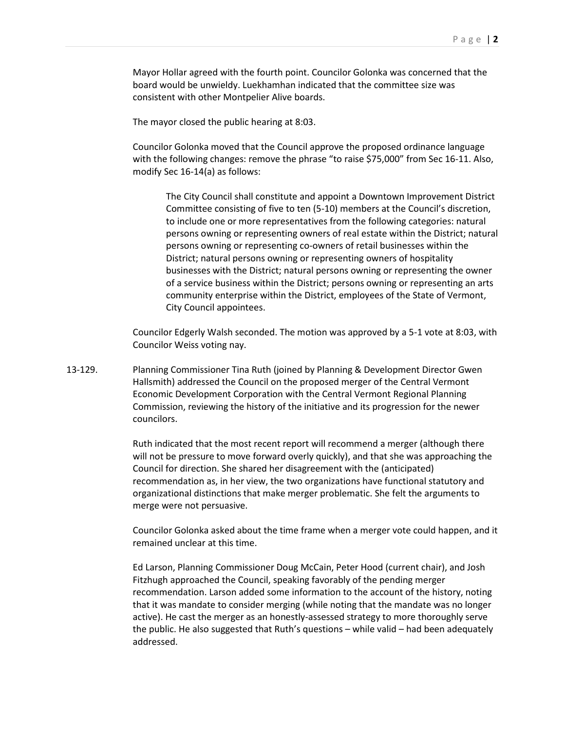Mayor Hollar agreed with the fourth point. Councilor Golonka was concerned that the board would be unwieldy. Luekhamhan indicated that the committee size was consistent with other Montpelier Alive boards.

The mayor closed the public hearing at 8:03.

Councilor Golonka moved that the Council approve the proposed ordinance language with the following changes: remove the phrase "to raise \$75,000" from Sec 16-11. Also, modify Sec 16-14(a) as follows:

The City Council shall constitute and appoint a Downtown Improvement District Committee consisting of five to ten (5-10) members at the Council's discretion, to include one or more representatives from the following categories: natural persons owning or representing owners of real estate within the District; natural persons owning or representing co-owners of retail businesses within the District; natural persons owning or representing owners of hospitality businesses with the District; natural persons owning or representing the owner of a service business within the District; persons owning or representing an arts community enterprise within the District, employees of the State of Vermont, City Council appointees.

Councilor Edgerly Walsh seconded. The motion was approved by a 5-1 vote at 8:03, with Councilor Weiss voting nay.

13-129. Planning Commissioner Tina Ruth (joined by Planning & Development Director Gwen Hallsmith) addressed the Council on the proposed merger of the Central Vermont Economic Development Corporation with the Central Vermont Regional Planning Commission, reviewing the history of the initiative and its progression for the newer councilors.

> Ruth indicated that the most recent report will recommend a merger (although there will not be pressure to move forward overly quickly), and that she was approaching the Council for direction. She shared her disagreement with the (anticipated) recommendation as, in her view, the two organizations have functional statutory and organizational distinctions that make merger problematic. She felt the arguments to merge were not persuasive.

Councilor Golonka asked about the time frame when a merger vote could happen, and it remained unclear at this time.

Ed Larson, Planning Commissioner Doug McCain, Peter Hood (current chair), and Josh Fitzhugh approached the Council, speaking favorably of the pending merger recommendation. Larson added some information to the account of the history, noting that it was mandate to consider merging (while noting that the mandate was no longer active). He cast the merger as an honestly-assessed strategy to more thoroughly serve the public. He also suggested that Ruth's questions – while valid – had been adequately addressed.